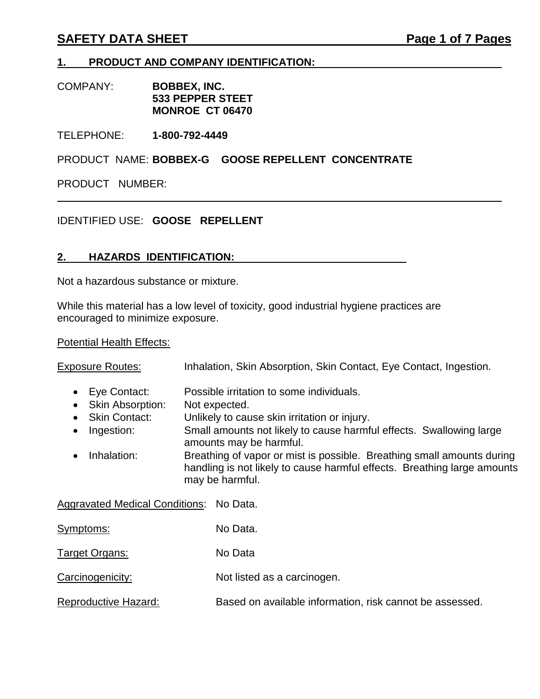# **SAFETY DATA SHEET Page 1 of 7 Pages**

## **1. PRODUCT AND COMPANY IDENTIFICATION:**

COMPANY: **BOBBEX, INC. 533 PEPPER STEET MONROE CT 06470**

TELEPHONE: **1-800-792-4449**

PRODUCT NAME: **BOBBEX-G GOOSE REPELLENT CONCENTRATE**

PRODUCT NUMBER:

# IDENTIFIED USE: **GOOSE REPELLENT**

## **2. HAZARDS IDENTIFICATION:**

Not a hazardous substance or mixture.

While this material has a low level of toxicity, good industrial hygiene practices are encouraged to minimize exposure.

### **Potential Health Effects:**

| <b>Exposure Routes:</b>                                                                                   | Inhalation, Skin Absorption, Skin Contact, Eye Contact, Ingestion.                                                                                                                                                                                                                                                                                                                   |  |
|-----------------------------------------------------------------------------------------------------------|--------------------------------------------------------------------------------------------------------------------------------------------------------------------------------------------------------------------------------------------------------------------------------------------------------------------------------------------------------------------------------------|--|
| Eye Contact:<br><b>Skin Absorption:</b><br><b>Skin Contact:</b><br>Ingestion:<br>$\bullet$<br>Inhalation: | Possible irritation to some individuals.<br>Not expected.<br>Unlikely to cause skin irritation or injury.<br>Small amounts not likely to cause harmful effects. Swallowing large<br>amounts may be harmful.<br>Breathing of vapor or mist is possible. Breathing small amounts during<br>handling is not likely to cause harmful effects. Breathing large amounts<br>may be harmful. |  |
| Aggravated Medical Conditions: No Data.                                                                   |                                                                                                                                                                                                                                                                                                                                                                                      |  |
| Symptoms:                                                                                                 | No Data.                                                                                                                                                                                                                                                                                                                                                                             |  |
| Target Organs:                                                                                            | No Data                                                                                                                                                                                                                                                                                                                                                                              |  |
| Carcinogenicity:                                                                                          | Not listed as a carcinogen.                                                                                                                                                                                                                                                                                                                                                          |  |
| Reproductive Hazard:                                                                                      | Based on available information, risk cannot be assessed.                                                                                                                                                                                                                                                                                                                             |  |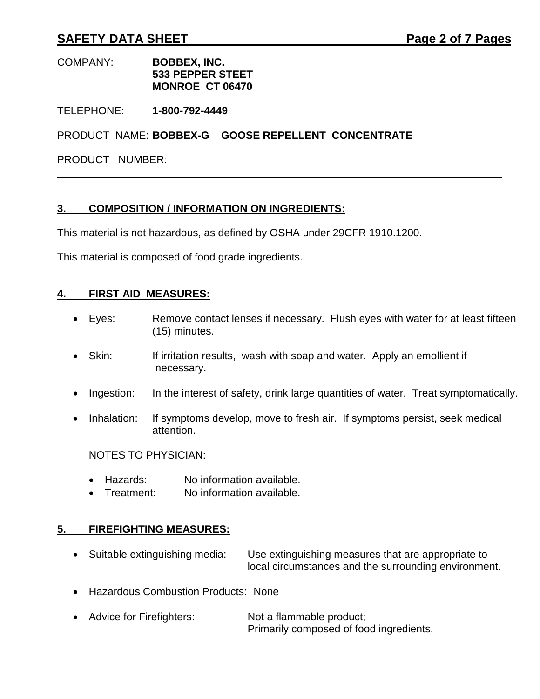# **SAFETY DATA SHEET Page 2 of 7 Pages**

#### COMPANY: **BOBBEX, INC. 533 PEPPER STEET MONROE CT 06470**

TELEPHONE: **1-800-792-4449**

PRODUCT NAME: **BOBBEX-G GOOSE REPELLENT CONCENTRATE**

PRODUCT NUMBER:

### **3. COMPOSITION / INFORMATION ON INGREDIENTS:**

This material is not hazardous, as defined by OSHA under 29CFR 1910.1200.

This material is composed of food grade ingredients.

### **4. FIRST AID MEASURES:**

- Eyes: Remove contact lenses if necessary. Flush eyes with water for at least fifteen (15) minutes.
- Skin: If irritation results, wash with soap and water. Apply an emollient if necessary.
- Ingestion: In the interest of safety, drink large quantities of water. Treat symptomatically.
- Inhalation: If symptoms develop, move to fresh air. If symptoms persist, seek medical attention.

NOTES TO PHYSICIAN:

- Hazards: No information available.
- Treatment: No information available.

## **5. FIREFIGHTING MEASURES:**

- Suitable extinguishing media: Use extinguishing measures that are appropriate to local circumstances and the surrounding environment.
- Hazardous Combustion Products: None
- Advice for Firefighters: Not a flammable product; Primarily composed of food ingredients.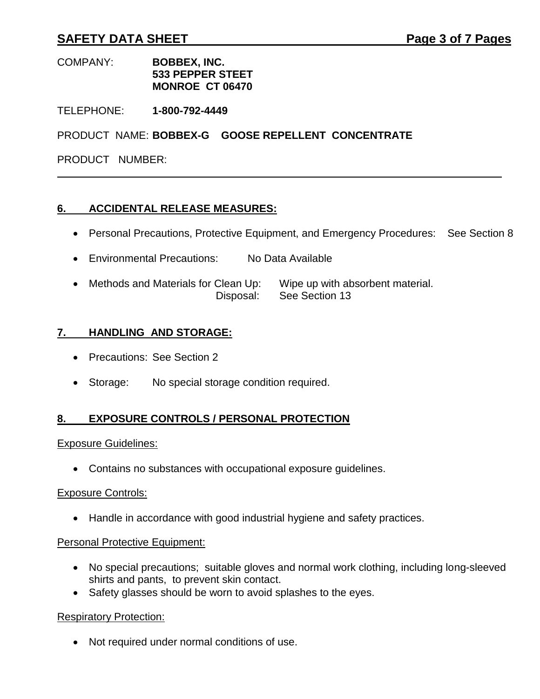# **SAFETY DATA SHEET Page 3 of 7 Pages**

#### COMPANY: **BOBBEX, INC. 533 PEPPER STEET MONROE CT 06470**

TELEPHONE: **1-800-792-4449**

PRODUCT NAME: **BOBBEX-G GOOSE REPELLENT CONCENTRATE**

PRODUCT NUMBER:

### **6. ACCIDENTAL RELEASE MEASURES:**

- Personal Precautions, Protective Equipment, and Emergency Procedures: See Section 8
- Environmental Precautions: No Data Available
- Methods and Materials for Clean Up: Wipe up with absorbent material. Disposal: See Section 13

### **7. HANDLING AND STORAGE:**

- Precautions: See Section 2
- Storage: No special storage condition required.

## **8. EXPOSURE CONTROLS / PERSONAL PROTECTION**

#### Exposure Guidelines:

Contains no substances with occupational exposure guidelines.

#### Exposure Controls:

Handle in accordance with good industrial hygiene and safety practices.

#### Personal Protective Equipment:

- No special precautions; suitable gloves and normal work clothing, including long-sleeved shirts and pants, to prevent skin contact.
- Safety glasses should be worn to avoid splashes to the eyes.

#### Respiratory Protection:

Not required under normal conditions of use.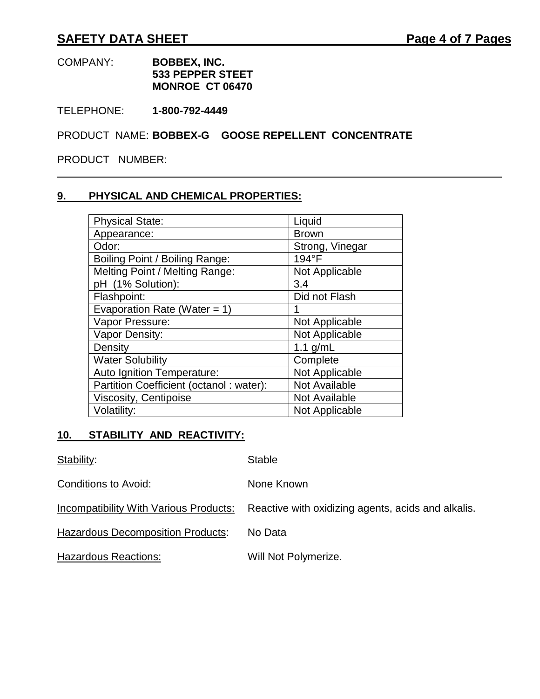#### COMPANY: **BOBBEX, INC. 533 PEPPER STEET MONROE CT 06470**

TELEPHONE: **1-800-792-4449**

PRODUCT NAME: **BOBBEX-G GOOSE REPELLENT CONCENTRATE**

PRODUCT NUMBER:

# **9. PHYSICAL AND CHEMICAL PROPERTIES:**

| <b>Physical State:</b>                  | Liquid          |
|-----------------------------------------|-----------------|
| Appearance:                             | <b>Brown</b>    |
| Odor:                                   | Strong, Vinegar |
| Boiling Point / Boiling Range:          | 194°F           |
| Melting Point / Melting Range:          | Not Applicable  |
| pH (1% Solution):                       | 3.4             |
| Flashpoint:                             | Did not Flash   |
| Evaporation Rate (Water = 1)            |                 |
| Vapor Pressure:                         | Not Applicable  |
| Vapor Density:                          | Not Applicable  |
| Density                                 | 1.1 $g/mL$      |
| <b>Water Solubility</b>                 | Complete        |
| Auto Ignition Temperature:              | Not Applicable  |
| Partition Coefficient (octanol: water): | Not Available   |
| <b>Viscosity, Centipoise</b>            | Not Available   |
| Volatility:                             | Not Applicable  |

# **10. STABILITY AND REACTIVITY:**

| Stability:                               | <b>Stable</b>                                      |
|------------------------------------------|----------------------------------------------------|
| Conditions to Avoid:                     | None Known                                         |
| Incompatibility With Various Products:   | Reactive with oxidizing agents, acids and alkalis. |
| <b>Hazardous Decomposition Products:</b> | No Data                                            |
| <b>Hazardous Reactions:</b>              | Will Not Polymerize.                               |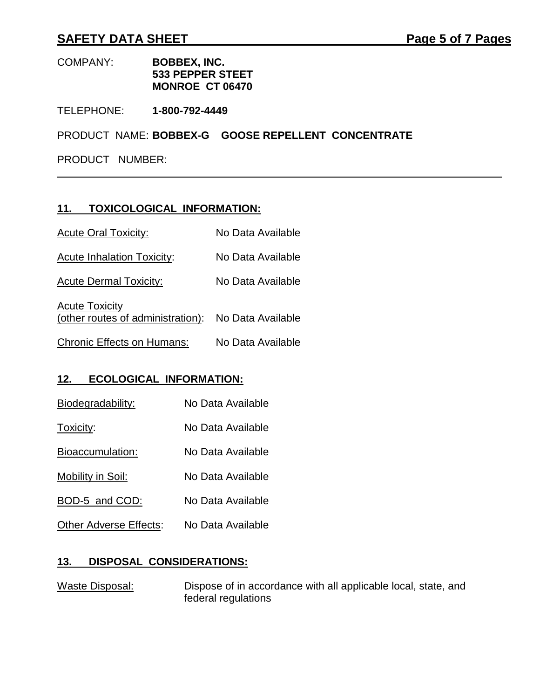# **SAFETY DATA SHEET Page 5 of 7 Pages**

#### COMPANY: **BOBBEX, INC. 533 PEPPER STEET MONROE CT 06470**

TELEPHONE: **1-800-792-4449**

PRODUCT NAME: **BOBBEX-G GOOSE REPELLENT CONCENTRATE**

PRODUCT NUMBER:

### **11. TOXICOLOGICAL INFORMATION:**

| <b>Acute Oral Toxicity:</b>       | No Data Available |
|-----------------------------------|-------------------|
| <b>Acute Inhalation Toxicity:</b> | No Data Available |
| <b>Acute Dermal Toxicity:</b>     | No Data Available |

**Acute Toxicity** (other routes of administration): No Data Available

Chronic Effects on Humans: No Data Available

## **12. ECOLOGICAL INFORMATION:**

| Biodegradability:      | No Data Available |
|------------------------|-------------------|
| Toxicity:              | No Data Available |
| Bioaccumulation:       | No Data Available |
| Mobility in Soil:      | No Data Available |
| BOD-5 and COD:         | No Data Available |
| Other Adverse Effects: | No Data Available |

# **13. DISPOSAL CONSIDERATIONS:**

Waste Disposal: Dispose of in accordance with all applicable local, state, and federal regulations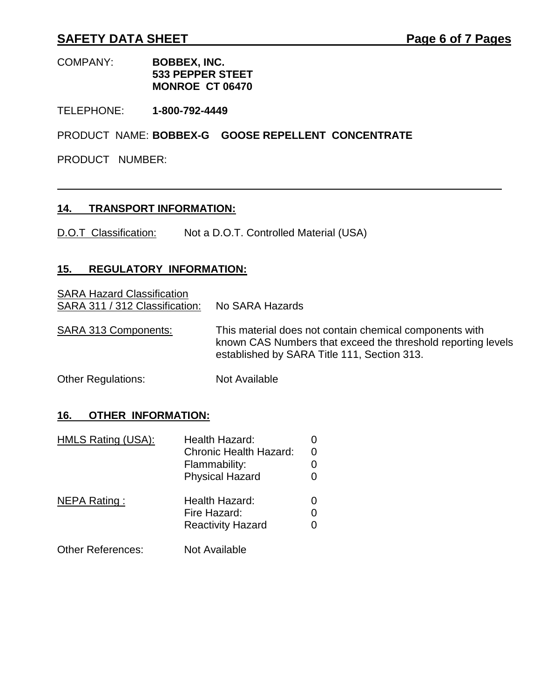# **SAFETY DATA SHEET Page 6 of 7 Pages**

#### COMPANY: **BOBBEX, INC. 533 PEPPER STEET MONROE CT 06470**

TELEPHONE: **1-800-792-4449**

PRODUCT NAME: **BOBBEX-G GOOSE REPELLENT CONCENTRATE**

PRODUCT NUMBER:

#### **14. TRANSPORT INFORMATION:**

D.O.T Classification: Not a D.O.T. Controlled Material (USA)

# **15. REGULATORY INFORMATION:**

**SARA Hazard Classification** SARA 311 / 312 Classification: No SARA Hazards SARA 313 Components: This material does not contain chemical components with known CAS Numbers that exceed the threshold reporting levels established by SARA Title 111, Section 313. Other Regulations: Not Available

**16. OTHER INFORMATION:**

| HMLS Rating (USA):       | Health Hazard:<br>Chronic Health Hazard:<br>Flammability:<br><b>Physical Hazard</b> | 0<br>0<br>0 |
|--------------------------|-------------------------------------------------------------------------------------|-------------|
| NEPA Rating:             | Health Hazard:<br>Fire Hazard:<br><b>Reactivity Hazard</b>                          | 0<br>0<br>O |
| <b>Other References:</b> | Not Available                                                                       |             |